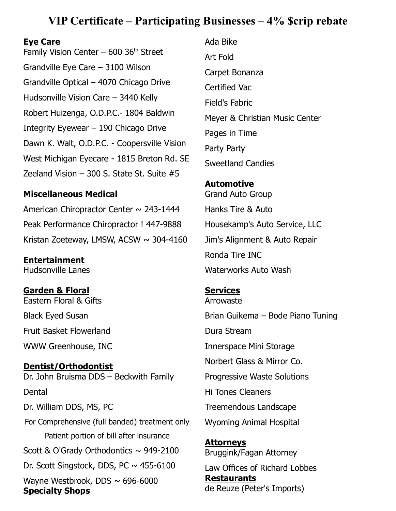# **VIP Certificate – Participating Businesses – 4% \$crip rebate**

#### **Eye Care**

Family Vision Center –  $600$  36<sup>th</sup> Street Grandville Eye Care – 3100 Wilson Grandville Optical – 4070 Chicago Drive Hudsonville Vision Care – 3440 Kelly Robert Huizenga, O.D.P.C.- 1804 Baldwin Integrity Eyewear – 190 Chicago Drive Dawn K. Walt, O.D.P.C. - Coopersville Vision West Michigan Eyecare - 1815 Breton Rd. SE Zeeland Vision – 300 S. State St. Suite #5

## **Miscellaneous Medical**

American Chiropractor Center  $\sim$  243-1444 Peak Performance Chiropractor ! 447-9888 Kristan Zoeteway, LMSW, ACSW  $\sim$  304-4160

**Entertainment** Hudsonville Lanes

**Garden & Floral** Eastern Floral & Gifts Black Eyed Susan Fruit Basket Flowerland WWW Greenhouse, INC

**Dentist/Orthodontist** Dr. John Bruisma DDS – Beckwith Family **Dental** Dr. William DDS, MS, PC For Comprehensive (full banded) treatment only Patient portion of bill after insurance Scott & O'Grady Orthodontics  $\sim$  949-2100 Dr. Scott Singstock, DDS, PC  $\sim$  455-6100 Wayne Westbrook, DDS  $\sim$  696-6000 **Specialty Shops**

Ada Bike Art Fold Carpet Bonanza Certified Vac Field's Fabric Meyer & Christian Music Center Pages in Time Party Party Sweetland Candies

# **Automotive** Grand Auto Group Hanks Tire & Auto Housekamp's Auto Service, LLC Jim's Alignment & Auto Repair Ronda Tire INC Waterworks Auto Wash

# **Services**

Arrowaste Brian Guikema – Bode Piano Tuning Dura Stream Innerspace Mini Storage Norbert Glass & Mirror Co. Progressive Waste Solutions Hi Tones Cleaners Treemendous Landscape Wyoming Animal Hospital

**Attorneys** Bruggink/Fagan Attorney Law Offices of Richard Lobbes **Restaurants**

de Reuze (Peter's Imports)